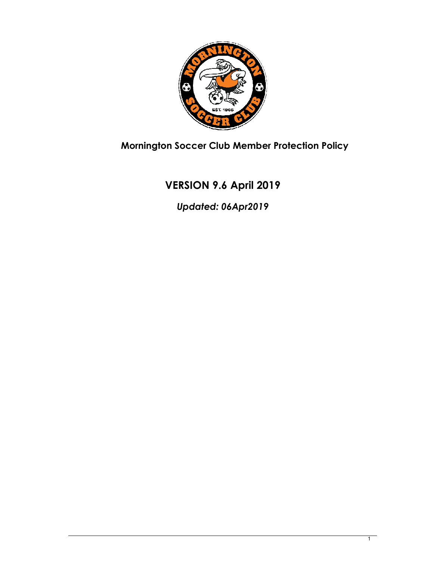

**Mornington Soccer Club Member Protection Policy** 

# **VERSION 9.6 April 2019**

*Updated: 06Apr2019*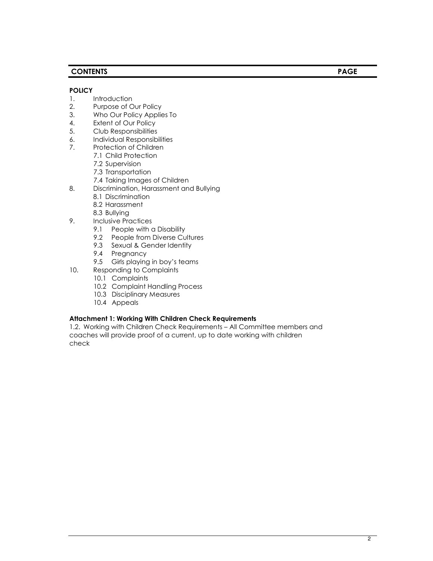## **CONTENTS PAGE**

#### **POLICY**

- 1. Introduction
- 2. Purpose of Our Policy
- 3. Who Our Policy Applies To
- 4. Extent of Our Policy
- 5. Club Responsibilities
- 6. Individual Responsibilities
- 7. Protection of Children
	- 7.1 Child Protection
		- 7.2 Supervision
	- 7.3 Transportation
	- 7.4 Taking Images of Children
- 8. Discrimination, Harassment and Bullying
	- 8.1 Discrimination
	- 8.2 Harassment
	- 8.3 Bullying
- 9. Inclusive Practices
	- 9.1 People with a Disability
	- 9.2 People from Diverse Cultures
	- 9.3 Sexual & Gender Identity
	- 9.4 Pregnancy
	- 9.5 Girls playing in boy's teams
- 10. Responding to Complaints
	- 10.1 Complaints
	- 10.2 Complaint Handling Process
	- 10.3 Disciplinary Measures
	- 10.4 Appeals

#### **Attachment 1: Working With Children Check Requirements**

1.2. Working with Children Check Requirements – All Committee members and coaches will provide proof of a current, up to date working with children check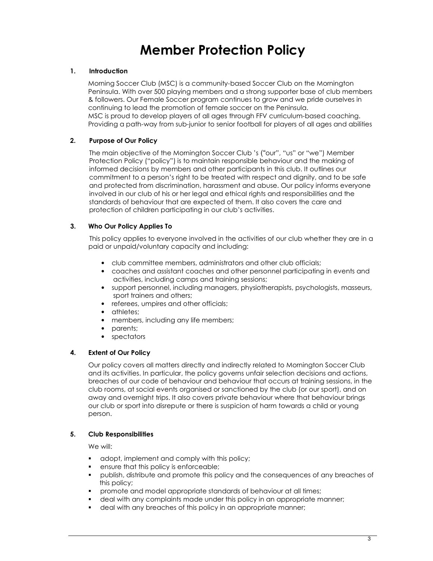# **Member Protection Policy**

## **1. Introduction**

Morning Soccer Club (MSC) is a community-based Soccer Club on the Mornington Peninsula. With over 500 playing members and a strong supporter base of club members & followers. Our Female Soccer program continues to grow and we pride ourselves in continuing to lead the promotion of female soccer on the Peninsula. MSC is proud to develop players of all ages through FFV curriculum-based coaching. Providing a path-way from sub-junior to senior football for players of all ages and abilities

## **2. Purpose of Our Policy**

The main objective of the Mornington Soccer Club 's ("our", "us" or "we") Member Protection Policy ("policy") is to maintain responsible behaviour and the making of informed decisions by members and other participants in this club. It outlines our commitment to a person's right to be treated with respect and dignity, and to be safe and protected from discrimination, harassment and abuse. Our policy informs everyone involved in our club of his or her legal and ethical rights and responsibilities and the standards of behaviour that are expected of them. It also covers the care and protection of children participating in our club's activities.

## **3. Who Our Policy Applies To**

This policy applies to everyone involved in the activities of our club whether they are in a paid or unpaid/voluntary capacity and including:

- club committee members, administrators and other club officials;
- coaches and assistant coaches and other personnel participating in events and activities, including camps and training sessions;
- support personnel, including managers, physiotherapists, psychologists, masseurs, sport trainers and others;
- referees, umpires and other officials;
- athletes;
- members, including any life members;
- parents;
- spectators

## **4. Extent of Our Policy**

Our policy covers all matters directly and indirectly related to Mornington Soccer Club and its activities. In particular, the policy governs unfair selection decisions and actions, breaches of our code of behaviour and behaviour that occurs at training sessions, in the club rooms, at social events organised or sanctioned by the club (or our sport), and on away and overnight trips. It also covers private behaviour where that behaviour brings our club or sport into disrepute or there is suspicion of harm towards a child or young person.

## **5. Club Responsibilities**

We will:

- adopt, implement and comply with this policy;
- ensure that this policy is enforceable;
- publish, distribute and promote this policy and the consequences of any breaches of this policy;
- promote and model appropriate standards of behaviour at all times;
- deal with any complaints made under this policy in an appropriate manner;
- deal with any breaches of this policy in an appropriate manner;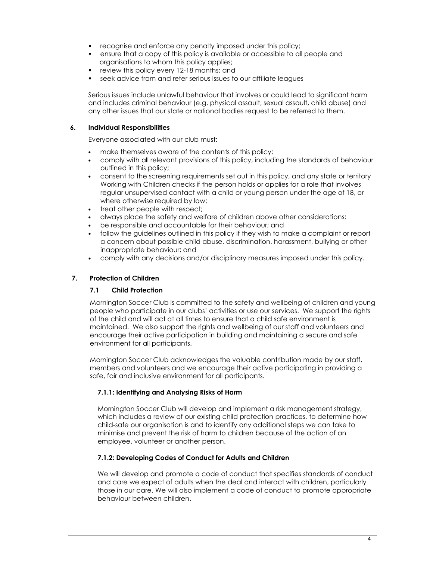- **•** recognise and enforce any penalty imposed under this policy;
- ensure that a copy of this policy is available or accessible to all people and organisations to whom this policy applies;
- **review this policy every 12-18 months; and**
- seek advice from and refer serious issues to our affiliate leagues

Serious issues include unlawful behaviour that involves or could lead to significant harm and includes criminal behaviour (e.g. physical assault, sexual assault, child abuse) and any other issues that our state or national bodies request to be referred to them.

#### **6. Individual Responsibilities**

Everyone associated with our club must:

- make themselves aware of the contents of this policy;
- comply with all relevant provisions of this policy, including the standards of behaviour outlined in this policy;
- consent to the screening requirements set out in this policy, and any state or territory Working with Children checks if the person holds or applies for a role that involves regular unsupervised contact with a child or young person under the age of 18, or where otherwise required by law;
- treat other people with respect;
- always place the safety and welfare of children above other considerations;
- be responsible and accountable for their behaviour; and
- follow the guidelines outlined in this policy if they wish to make a complaint or report a concern about possible child abuse, discrimination, harassment, bullying or other inappropriate behaviour; and
- comply with any decisions and/or disciplinary measures imposed under this policy.

## **7. Protection of Children**

## **7.1 Child Protection**

Mornington Soccer Club is committed to the safety and wellbeing of children and young people who participate in our clubs' activities or use our services. We support the rights of the child and will act at all times to ensure that a child safe environment is maintained. We also support the rights and wellbeing of our staff and volunteers and encourage their active participation in building and maintaining a secure and safe environment for all participants.

Mornington Soccer Club acknowledges the valuable contribution made by our staff, members and volunteers and we encourage their active participating in providing a safe, fair and inclusive environment for all participants.

## **7.1.1: Identifying and Analysing Risks of Harm**

Mornington Soccer Club will develop and implement a risk management strategy, which includes a review of our existing child protection practices, to determine how child-safe our organisation is and to identify any additional steps we can take to minimise and prevent the risk of harm to children because of the action of an employee, volunteer or another person.

## **7.1.2: Developing Codes of Conduct for Adults and Children**

We will develop and promote a code of conduct that specifies standards of conduct and care we expect of adults when the deal and interact with children, particularly those in our care. We will also implement a code of conduct to promote appropriate behaviour between children.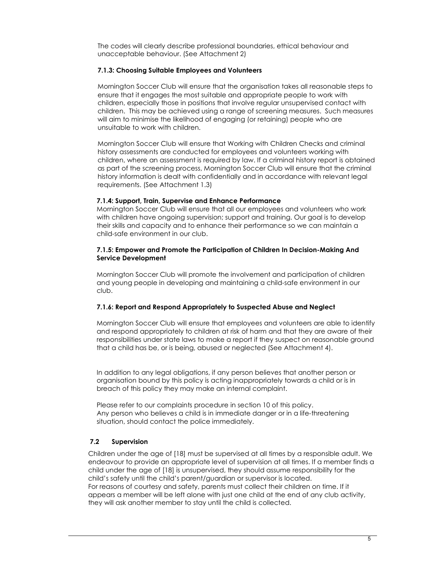The codes will clearly describe professional boundaries, ethical behaviour and unacceptable behaviour. (See Attachment 2)

#### **7.1.3: Choosing Suitable Employees and Volunteers**

Mornington Soccer Club will ensure that the organisation takes all reasonable steps to ensure that it engages the most suitable and appropriate people to work with children, especially those in positions that involve regular unsupervised contact with children. This may be achieved using a range of screening measures. Such measures will aim to minimise the likelihood of engaging (or retaining) people who are unsuitable to work with children.

Mornington Soccer Club will ensure that Working with Children Checks and criminal history assessments are conducted for employees and volunteers working with children, where an assessment is required by law. If a criminal history report is obtained as part of the screening process, Mornington Soccer Club will ensure that the criminal history information is dealt with confidentially and in accordance with relevant legal requirements. (See Attachment 1.3)

#### **7.1.4: Support, Train, Supervise and Enhance Performance**

Mornington Soccer Club will ensure that all our employees and volunteers who work with children have ongoing supervision; support and training. Our goal is to develop their skills and capacity and to enhance their performance so we can maintain a child-safe environment in our club.

#### **7.1.5: Empower and Promote the Participation of Children In Decision-Making And Service Development**

Mornington Soccer Club will promote the involvement and participation of children and young people in developing and maintaining a child-safe environment in our club.

#### **7.1.6: Report and Respond Appropriately to Suspected Abuse and Neglect**

Mornington Soccer Club will ensure that employees and volunteers are able to identify and respond appropriately to children at risk of harm and that they are aware of their responsibilities under state laws to make a report if they suspect on reasonable ground that a child has be, or is being, abused or neglected (See Attachment 4).

In addition to any legal obligations, if any person believes that another person or organisation bound by this policy is acting inappropriately towards a child or is in breach of this policy they may make an internal complaint.

Please refer to our complaints procedure in section 10 of this policy. Any person who believes a child is in immediate danger or in a life-threatening situation, should contact the police immediately.

## **7.2 Supervision**

Children under the age of [18] must be supervised at all times by a responsible adult. We endeavour to provide an appropriate level of supervision at all times. If a member finds a child under the age of [18] is unsupervised, they should assume responsibility for the child's safety until the child's parent/guardian or supervisor is located. For reasons of courtesy and safety, parents must collect their children on time. If it appears a member will be left alone with just one child at the end of any club activity, they will ask another member to stay until the child is collected.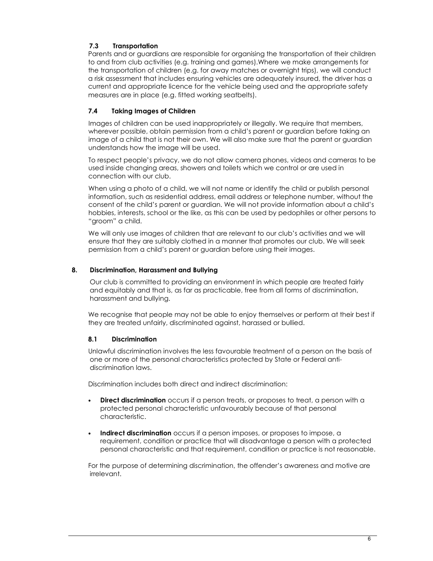## **7.3 Transportation**

Parents and or guardians are responsible for organising the transportation of their children to and from club activities (e.g. training and games).Where we make arrangements for the transportation of children (e.g. for away matches or overnight trips), we will conduct a risk assessment that includes ensuring vehicles are adequately insured, the driver has a current and appropriate licence for the vehicle being used and the appropriate safety measures are in place (e.g. fitted working seatbelts).

## **7.4 Taking Images of Children**

Images of children can be used inappropriately or illegally. We require that members, wherever possible, obtain permission from a child's parent or guardian before taking an image of a child that is not their own. We will also make sure that the parent or guardian understands how the image will be used.

To respect people's privacy, we do not allow camera phones, videos and cameras to be used inside changing areas, showers and toilets which we control or are used in connection with our club.

When using a photo of a child, we will not name or identify the child or publish personal information, such as residential address, email address or telephone number, without the consent of the child's parent or guardian. We will not provide information about a child's hobbies, interests, school or the like, as this can be used by pedophiles or other persons to "groom" a child.

We will only use images of children that are relevant to our club's activities and we will ensure that they are suitably clothed in a manner that promotes our club. We will seek permission from a child's parent or guardian before using their images.

#### **8. Discrimination, Harassment and Bullying**

Our club is committed to providing an environment in which people are treated fairly and equitably and that is, as far as practicable, free from all forms of discrimination, harassment and bullying.

We recognise that people may not be able to enjoy themselves or perform at their best if they are treated unfairly, discriminated against, harassed or bullied.

## **8.1 Discrimination**

Unlawful discrimination involves the less favourable treatment of a person on the basis of one or more of the personal characteristics protected by State or Federal antidiscrimination laws.

Discrimination includes both direct and indirect discrimination:

- **Direct discrimination** occurs if a person treats, or proposes to treat, a person with a protected personal characteristic unfavourably because of that personal characteristic.
- **Indirect discrimination** occurs if a person imposes, or proposes to impose, a requirement, condition or practice that will disadvantage a person with a protected personal characteristic and that requirement, condition or practice is not reasonable.

For the purpose of determining discrimination, the offender's awareness and motive are irrelevant.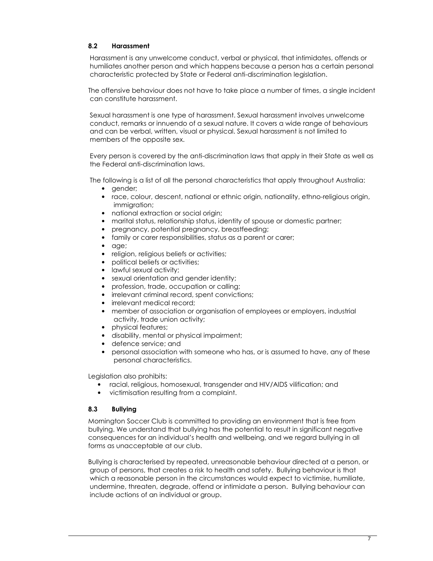#### **8.2 Harassment**

 Harassment is any unwelcome conduct, verbal or physical, that intimidates, offends or humiliates another person and which happens because a person has a certain personal characteristic protected by State or Federal anti-discrimination legislation.

The offensive behaviour does not have to take place a number of times, a single incident can constitute harassment.

 Sexual harassment is one type of harassment. Sexual harassment involves unwelcome conduct, remarks or innuendo of a sexual nature. It covers a wide range of behaviours and can be verbal, written, visual or physical. Sexual harassment is not limited to members of the opposite sex.

 Every person is covered by the anti-discrimination laws that apply in their State as well as the Federal anti-discrimination laws.

The following is a list of all the personal characteristics that apply throughout Australia:

- gender;
- race, colour, descent, national or ethnic origin, nationality, ethno-religious origin, immigration;
- national extraction or social origin;
- marital status, relationship status, identity of spouse or domestic partner;
- pregnancy, potential pregnancy, breastfeeding;
- family or carer responsibilities, status as a parent or carer;
- age;
- religion, religious beliefs or activities;
- political beliefs or activities:
- lawful sexual activity;
- sexual orientation and gender identity;
- profession, trade, occupation or calling;
- irrelevant criminal record, spent convictions;
- irrelevant medical record;
- member of association or organisation of employees or employers, industrial activity, trade union activity;
- physical features;
- disability, mental or physical impairment;
- defence service; and
- personal association with someone who has, or is assumed to have, any of these personal characteristics.

Legislation also prohibits:

- racial, religious, homosexual, transgender and HIV/AIDS vilification; and
- victimisation resulting from a complaint.

## **8.3 Bullying**

Mornington Soccer Club is committed to providing an environment that is free from bullying. We understand that bullying has the potential to result in significant negative consequences for an individual's health and wellbeing, and we regard bullying in all forms as unacceptable at our club.

Bullying is characterised by repeated, unreasonable behaviour directed at a person, or group of persons, that creates a risk to health and safety. Bullying behaviour is that which a reasonable person in the circumstances would expect to victimise, humiliate, undermine, threaten, degrade, offend or intimidate a person. Bullying behaviour can include actions of an individual or group.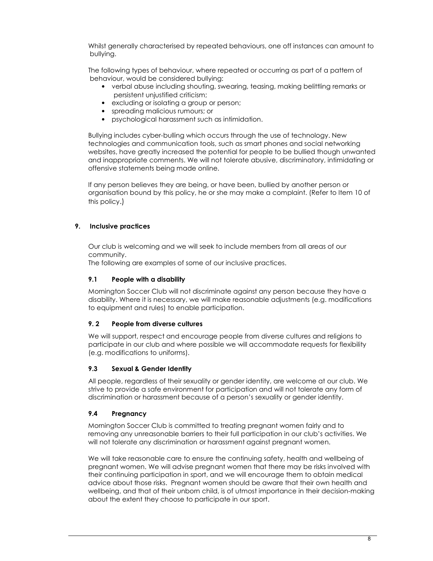Whilst generally characterised by repeated behaviours, one off instances can amount to bullying.

The following types of behaviour, where repeated or occurring as part of a pattern of behaviour, would be considered bullying:

- verbal abuse including shouting, swearing, teasing, making belittling remarks or persistent unjustified criticism;
- excluding or isolating a group or person;
- spreading malicious rumours; or
- psychological harassment such as intimidation.

Bullying includes cyber-bulling which occurs through the use of technology. New technologies and communication tools, such as smart phones and social networking websites, have greatly increased the potential for people to be bullied though unwanted and inappropriate comments. We will not tolerate abusive, discriminatory, intimidating or offensive statements being made online.

If any person believes they are being, or have been, bullied by another person or organisation bound by this policy, he or she may make a complaint. (Refer to Item 10 of this policy.)

## **9. Inclusive practices**

Our club is welcoming and we will seek to include members from all areas of our community.

The following are examples of some of our inclusive practices.

## **9.1 People with a disability**

Mornington Soccer Club will not discriminate against any person because they have a disability. Where it is necessary, we will make reasonable adjustments (e.g. modifications to equipment and rules) to enable participation.

## **9. 2 People from diverse cultures**

We will support, respect and encourage people from diverse cultures and religions to participate in our club and where possible we will accommodate requests for flexibility (e.g. modifications to uniforms).

## **9.3 Sexual & Gender Identity**

All people, regardless of their sexuality or gender identity, are welcome at our club. We strive to provide a safe environment for participation and will not tolerate any form of discrimination or harassment because of a person's sexuality or gender identity.

## **9.4 Pregnancy**

Mornington Soccer Club is committed to treating pregnant women fairly and to removing any unreasonable barriers to their full participation in our club's activities. We will not tolerate any discrimination or harassment against pregnant women.

We will take reasonable care to ensure the continuing safety, health and wellbeing of pregnant women. We will advise pregnant women that there may be risks involved with their continuing participation in sport, and we will encourage them to obtain medical advice about those risks. Pregnant women should be aware that their own health and wellbeing, and that of their unborn child, is of utmost importance in their decision-making about the extent they choose to participate in our sport.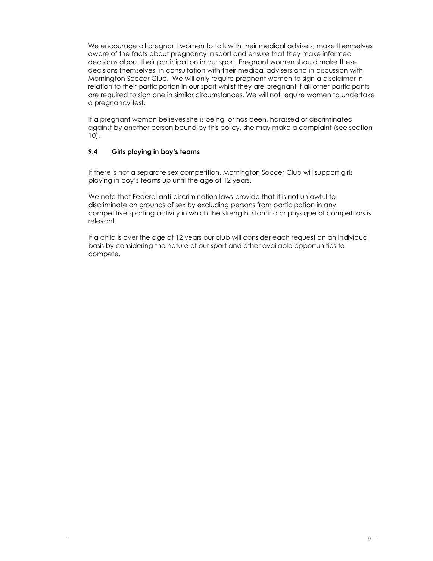We encourage all pregnant women to talk with their medical advisers, make themselves aware of the facts about pregnancy in sport and ensure that they make informed decisions about their participation in our sport. Pregnant women should make these decisions themselves, in consultation with their medical advisers and in discussion with Mornington Soccer Club. We will only require pregnant women to sign a disclaimer in relation to their participation in our sport whilst they are pregnant if all other participants are required to sign one in similar circumstances. We will not require women to undertake a pregnancy test.

If a pregnant woman believes she is being, or has been, harassed or discriminated against by another person bound by this policy, she may make a complaint (see section 10).

## **9.4 Girls playing in boy's teams**

If there is not a separate sex competition, Mornington Soccer Club will support girls playing in boy's teams up until the age of 12 years.

We note that Federal anti-discrimination laws provide that it is not unlawful to discriminate on grounds of sex by excluding persons from participation in any competitive sporting activity in which the strength, stamina or physique of competitors is relevant.

If a child is over the age of 12 years our club will consider each request on an individual basis by considering the nature of our sport and other available opportunities to compete.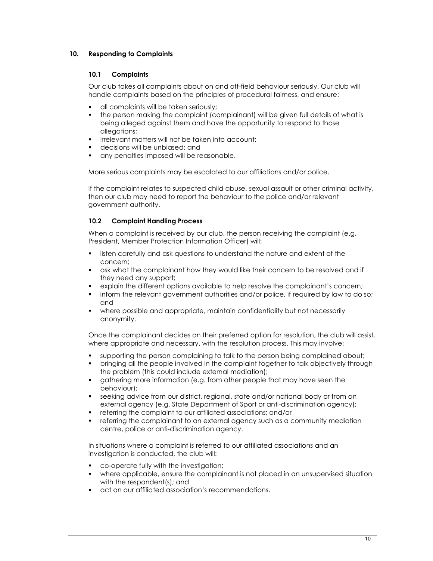## **10. Responding to Complaints**

## **10.1 Complaints**

Our club takes all complaints about on and off-field behaviour seriously. Our club will handle complaints based on the principles of procedural fairness, and ensure:

- **all complaints will be taken seriously;**
- the person making the complaint (complainant) will be given full details of what is being alleged against them and have the opportunity to respond to those allegations;
- **F** irrelevant matters will not be taken into account;
- decisions will be unbiased; and
- **a** any penalties imposed will be reasonable.

More serious complaints may be escalated to our affiliations and/or police.

If the complaint relates to suspected child abuse, sexual assault or other criminal activity, then our club may need to report the behaviour to the police and/or relevant government authority.

#### **10.2 Complaint Handling Process**

When a complaint is received by our club, the person receiving the complaint (e.g. President, Member Protection Information Officer) will:

- listen carefully and ask questions to understand the nature and extent of the concern;
- ask what the complainant how they would like their concern to be resolved and if they need any support;
- explain the different options available to help resolve the complainant's concern;
- **inform the relevant government authorities and/or police, if required by law to do so;** and
- where possible and appropriate, maintain confidentiality but not necessarily anonymity.

Once the complainant decides on their preferred option for resolution, the club will assist, where appropriate and necessary, with the resolution process. This may involve:

- supporting the person complaining to talk to the person being complained about;
- bringing all the people involved in the complaint together to talk objectively through the problem (this could include external mediation);
- gathering more information (e.g. from other people that may have seen the behaviour);
- seeking advice from our district, regional, state and/or national body or from an external agency (e.g. State Department of Sport or anti-discrimination agency);
- referring the complaint to our affiliated associations; and/or
- referring the complainant to an external agency such as a community mediation centre, police or anti-discrimination agency.

In situations where a complaint is referred to our affiliated associations and an investigation is conducted, the club will:

- co-operate fully with the investigation;
- where applicable, ensure the complainant is not placed in an unsupervised situation with the respondent(s); and
- act on our affiliated association's recommendations.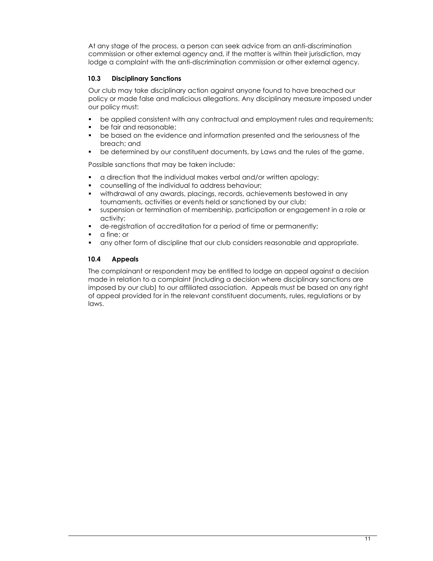At any stage of the process, a person can seek advice from an anti-discrimination commission or other external agency and, if the matter is within their jurisdiction, may lodge a complaint with the anti-discrimination commission or other external agency.

## **10.3 Disciplinary Sanctions**

Our club may take disciplinary action against anyone found to have breached our policy or made false and malicious allegations. Any disciplinary measure imposed under our policy must:

- be applied consistent with any contractual and employment rules and requirements;
- be fair and reasonable;
- be based on the evidence and information presented and the seriousness of the breach; and
- be determined by our constituent documents, by Laws and the rules of the game.

Possible sanctions that may be taken include:

- a direction that the individual makes verbal and/or written apology;
- counselling of the individual to address behaviour;
- withdrawal of any awards, placings, records, achievements bestowed in any tournaments, activities or events held or sanctioned by our club;
- suspension or termination of membership, participation or engagement in a role or activity;
- de-registration of accreditation for a period of time or permanently;
- a fine; or
- any other form of discipline that our club considers reasonable and appropriate.

## **10.4 Appeals**

The complainant or respondent may be entitled to lodge an appeal against a decision made in relation to a complaint (including a decision where disciplinary sanctions are imposed by our club) to our affiliated association. Appeals must be based on any right of appeal provided for in the relevant constituent documents, rules, regulations or by laws.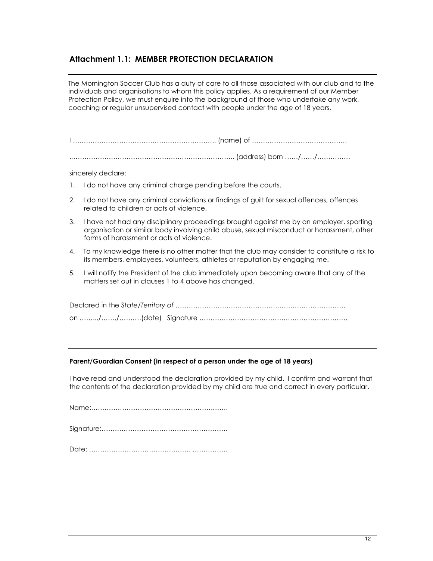## **Attachment 1.1: MEMBER PROTECTION DECLARATION**

The Mornington Soccer Club has a duty of care to all those associated with our club and to the individuals and organisations to whom this policy applies. As a requirement of our Member Protection Policy, we must enquire into the background of those who undertake any work, coaching or regular unsupervised contact with people under the age of 18 years.

I ……………………………………………………….. (name) of ……………………………………. .……………………………………………………………….. (address) born ……/……/……………

sincerely declare:

- 1. I do not have any criminal charge pending before the courts.
- 2. I do not have any criminal convictions or findings of guilt for sexual offences, offences related to children or acts of violence.
- 3. I have not had any disciplinary proceedings brought against me by an employer, sporting organisation or similar body involving child abuse, sexual misconduct or harassment, other forms of harassment or acts of violence.
- 4. To my knowledge there is no other matter that the club may consider to constitute a risk to its members, employees, volunteers, athletes or reputation by engaging me.
- 5. I will notify the President of the club immediately upon becoming aware that any of the matters set out in clauses 1 to 4 above has changed.

#### **Parent/Guardian Consent (in respect of a person under the age of 18 years)**

I have read and understood the declaration provided by my child. I confirm and warrant that the contents of the declaration provided by my child are true and correct in every particular.

|--|

Date: ………………………………………. …………….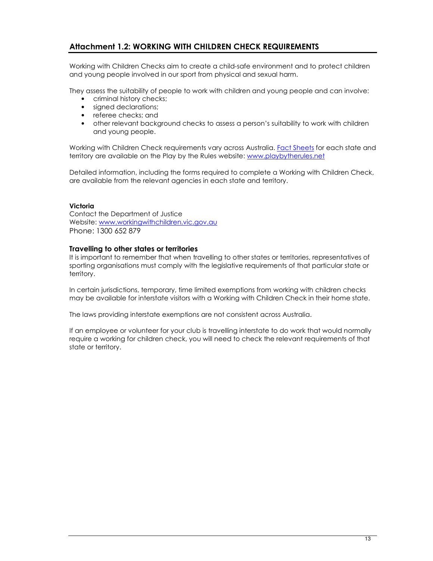## **Attachment 1.2: WORKING WITH CHILDREN CHECK REQUIREMENTS**

Working with Children Checks aim to create a child-safe environment and to protect children and young people involved in our sport from physical and sexual harm.

They assess the suitability of people to work with children and young people and can involve:

- criminal history checks;
- signed declarations:
- referee checks; and
- other relevant background checks to assess a person's suitability to work with children and young people.

Working with Children Check requirements vary across Australia. Fact Sheets for each state and territory are available on the Play by the Rules website: www.playbytherules.net

Detailed information, including the forms required to complete a Working with Children Check, are available from the relevant agencies in each state and territory.

#### **Victoria**

Contact the Department of Justice Website: www.workingwithchildren.vic.gov.au Phone: 1300 652 879

#### **Travelling to other states or territories**

It is important to remember that when travelling to other states or territories, representatives of sporting organisations must comply with the legislative requirements of that particular state or territory.

In certain jurisdictions, temporary, time limited exemptions from working with children checks may be available for interstate visitors with a Working with Children Check in their home state.

The laws providing interstate exemptions are not consistent across Australia.

If an employee or volunteer for your club is travelling interstate to do work that would normally require a working for children check, you will need to check the relevant requirements of that state or territory.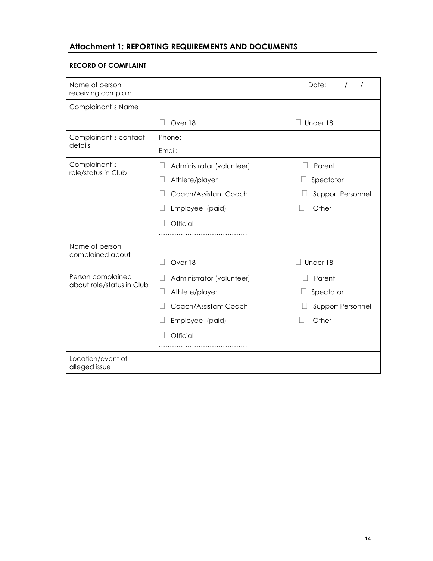# **Attachment 1: REPORTING REQUIREMENTS AND DOCUMENTS**

#### **RECORD OF COMPLAINT**

| Name of person<br>receiving complaint          |                                     | Date:              |
|------------------------------------------------|-------------------------------------|--------------------|
| Complainant's Name                             |                                     |                    |
|                                                | Over 18                             | Under 18           |
| Complainant's contact                          | Phone:                              |                    |
| details                                        | Email:                              |                    |
| Complainant's<br>role/status in Club           | Administrator (volunteer)           | Parent             |
|                                                | Athlete/player                      | Spectator          |
|                                                | Coach/Assistant Coach               | Support Personnel  |
|                                                | Employee (paid)                     | Other              |
|                                                | Official                            |                    |
|                                                |                                     |                    |
| Name of person<br>complained about             |                                     |                    |
|                                                | Over 18                             | Under 18<br>$\Box$ |
| Person complained<br>about role/status in Club | Administrator (volunteer)<br>$\Box$ | Parent             |
|                                                | Athlete/player<br>$\Box$            | Spectator          |
|                                                | Coach/Assistant Coach               | Support Personnel  |
|                                                | Employee (paid)                     | Other              |
|                                                | Official                            |                    |
|                                                |                                     |                    |
| Location/event of<br>alleged issue             |                                     |                    |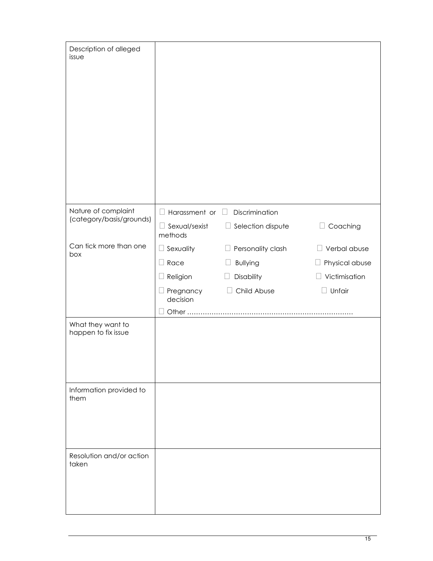| Description of alleged<br>issue          |                                 |                             |                       |
|------------------------------------------|---------------------------------|-----------------------------|-----------------------|
| Nature of complaint                      | $\Box$ Harassment or            | Discrimination<br>$\Box$    |                       |
| (category/basis/grounds)                 | $\Box$ Sexual/sexist<br>methods | $\Box$ Selection dispute    | □ Coaching            |
| Can tick more than one<br>box            | Sexuality                       | Personality clash<br>$\Box$ | $\Box$ Verbal abuse   |
|                                          | Race                            | <b>Bullying</b><br>$\Box$   | $\Box$ Physical abuse |
|                                          | Religion                        | Disability<br>$\Box$        | Victimisation         |
|                                          | Pregnancy<br>decision           | Child Abuse<br>$\mathbf{L}$ | Unfair                |
|                                          |                                 |                             |                       |
| What they want to<br>happen to fix issue |                                 |                             |                       |
| Information provided to<br>them          |                                 |                             |                       |
| Resolution and/or action<br>taken        |                                 |                             |                       |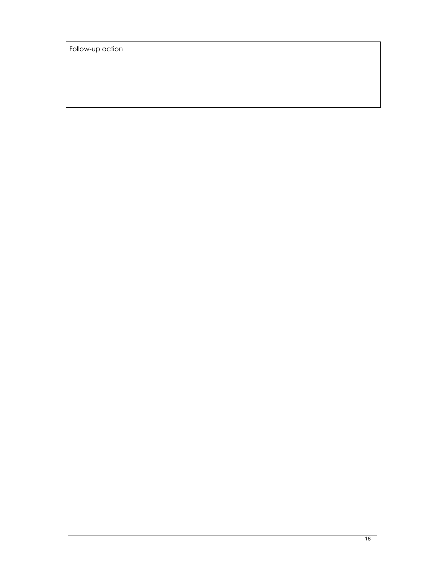| Follow-up action |  |
|------------------|--|
|                  |  |
|                  |  |
|                  |  |
|                  |  |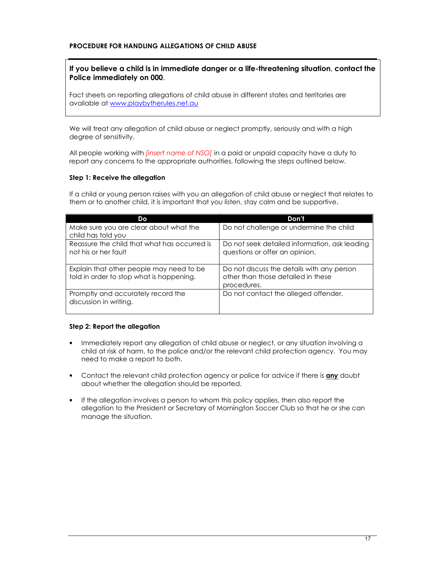#### **PROCEDURE FOR HANDLING ALLEGATIONS OF CHILD ABUSE**

## **If you believe a child is in immediate danger or a life-threatening situation**, **contact the Police immediately on 000**.

Fact sheets on reporting allegations of child abuse in different states and territories are available at www.playbytherules.net.au

We will treat any allegation of child abuse or neglect promptly, seriously and with a high degree of sensitivity.

All people working with *[insert name of NSO]* in a paid or unpaid capacity have a duty to report any concerns to the appropriate authorities, following the steps outlined below.

#### **Step 1: Receive the allegation**

If a child or young person raises with you an allegation of child abuse or neglect that relates to them or to another child, it is important that you listen, stay calm and be supportive.

| Do                                                                                   | Don't                                                                                           |
|--------------------------------------------------------------------------------------|-------------------------------------------------------------------------------------------------|
| Make sure you are clear about what the<br>child has told you                         | Do not challenge or undermine the child                                                         |
| Reassure the child that what has occurred is<br>not his or her fault                 | Do not seek detailed information, ask leading<br>questions or offer an opinion.                 |
| Explain that other people may need to be<br>told in order to stop what is happening. | Do not discuss the details with any person<br>other than those detailed in these<br>procedures. |
| Promptly and accurately record the<br>discussion in writing.                         | Do not contact the alleged offender.                                                            |

#### **Step 2: Report the allegation**

- Immediately report any allegation of child abuse or neglect, or any situation involving a child at risk of harm, to the police and/or the relevant child protection agency. You may need to make a report to both.
- Contact the relevant child protection agency or police for advice if there is **any** doubt about whether the allegation should be reported.
- If the allegation involves a person to whom this policy applies, then also report the allegation to the President or Secretary of Mornington Soccer Club so that he or she can manage the situation.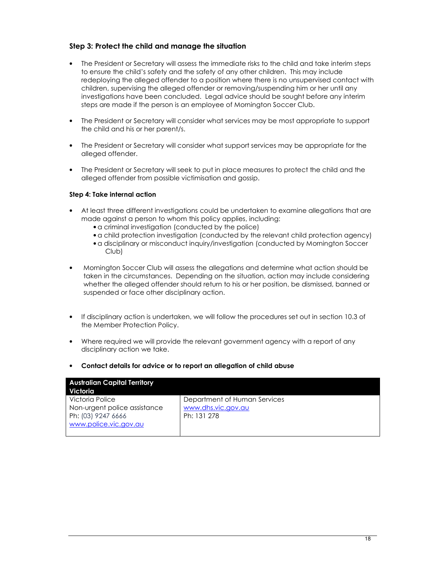## **Step 3: Protect the child and manage the situation**

- The President or Secretary will assess the immediate risks to the child and take interim steps to ensure the child's safety and the safety of any other children. This may include redeploying the alleged offender to a position where there is no unsupervised contact with children, supervising the alleged offender or removing/suspending him or her until any investigations have been concluded. Legal advice should be sought before any interim steps are made if the person is an employee of Mornington Soccer Club.
- The President or Secretary will consider what services may be most appropriate to support the child and his or her parent/s.
- The President or Secretary will consider what support services may be appropriate for the alleged offender.
- The President or Secretary will seek to put in place measures to protect the child and the alleged offender from possible victimisation and gossip.

#### **Step 4: Take internal action**

- At least three different investigations could be undertaken to examine allegations that are made against a person to whom this policy applies, including:
	- a criminal investigation (conducted by the police)
	- a child protection investigation (conducted by the relevant child protection agency)
	- a disciplinary or misconduct inquiry/investigation (conducted by Mornington Soccer Club)
- Mornington Soccer Club will assess the allegations and determine what action should be taken in the circumstances. Depending on the situation, action may include considering whether the alleged offender should return to his or her position, be dismissed, banned or suspended or face other disciplinary action.
- If disciplinary action is undertaken, we will follow the procedures set out in section 10.3 of the Member Protection Policy.
- Where required we will provide the relevant government agency with a report of any disciplinary action we take.
- **Contact details for advice or to report an allegation of child abuse**

| <b>Australian Capital Territory</b> |                              |
|-------------------------------------|------------------------------|
| Victoria                            |                              |
| Victoria Police                     | Department of Human Services |
| Non-urgent police assistance        | www.dhs.vic.gov.au           |
| Ph: (03) 9247 6666                  | Ph: 131 278                  |
| www.police.vic.gov.au               |                              |
|                                     |                              |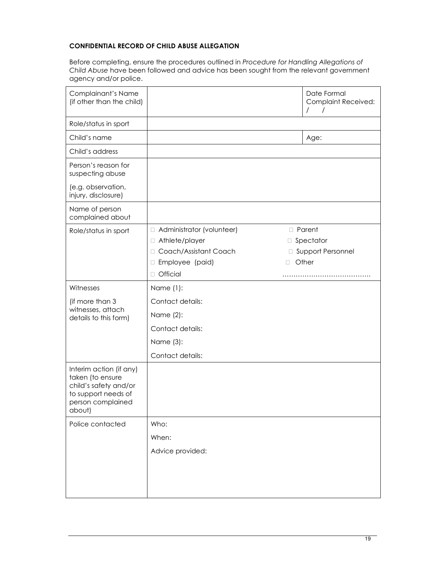## **CONFIDENTIAL RECORD OF CHILD ABUSE ALLEGATION**

Before completing, ensure the procedures outlined in *Procedure for Handling Allegations of Child Abuse* have been followed and advice has been sought from the relevant government agency and/or police.

| Complainant's Name<br>(if other than the child)                                                                            |                           | Date Formal<br><b>Complaint Received:</b><br>$\prime$<br>$\prime$ |
|----------------------------------------------------------------------------------------------------------------------------|---------------------------|-------------------------------------------------------------------|
| Role/status in sport                                                                                                       |                           |                                                                   |
| Child's name                                                                                                               |                           | Age:                                                              |
| Child's address                                                                                                            |                           |                                                                   |
| Person's reason for<br>suspecting abuse                                                                                    |                           |                                                                   |
| (e.g. observation,<br>injury, disclosure)                                                                                  |                           |                                                                   |
| Name of person<br>complained about                                                                                         |                           |                                                                   |
| Role/status in sport                                                                                                       | Administrator (volunteer) | Parent                                                            |
|                                                                                                                            | Athlete/player            | Spectator                                                         |
|                                                                                                                            | Coach/Assistant Coach     | Support Personnel                                                 |
|                                                                                                                            | Employee (paid)           | Other                                                             |
|                                                                                                                            | Official                  |                                                                   |
| Witnesses                                                                                                                  | Name (1):                 |                                                                   |
| (if more than 3                                                                                                            | Contact details:          |                                                                   |
| witnesses, attach<br>details to this form)                                                                                 | Name (2):                 |                                                                   |
|                                                                                                                            | Contact details:          |                                                                   |
|                                                                                                                            | Name (3):                 |                                                                   |
|                                                                                                                            | Contact details:          |                                                                   |
| Interim action (if any)<br>taken (to ensure<br>child's safety and/or<br>to support needs of<br>person complained<br>about) |                           |                                                                   |
| Police contacted                                                                                                           | Who:                      |                                                                   |
|                                                                                                                            | When:                     |                                                                   |
|                                                                                                                            | Advice provided:          |                                                                   |
|                                                                                                                            |                           |                                                                   |